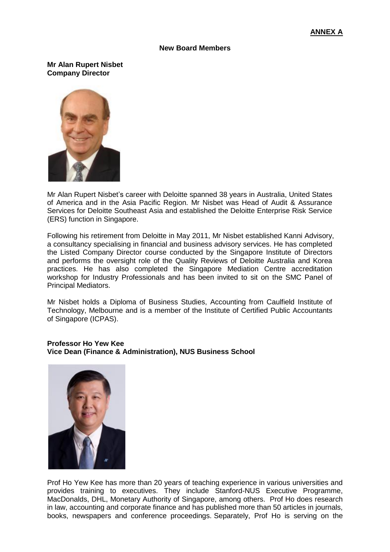## **New Board Members**

**Mr Alan Rupert Nisbet Company Director**



Mr Alan Rupert Nisbet's career with Deloitte spanned 38 years in Australia, United States of America and in the Asia Pacific Region. Mr Nisbet was Head of Audit & Assurance Services for Deloitte Southeast Asia and established the Deloitte Enterprise Risk Service (ERS) function in Singapore.

Following his retirement from Deloitte in May 2011, Mr Nisbet established Kanni Advisory, a consultancy specialising in financial and business advisory services. He has completed the Listed Company Director course conducted by the Singapore Institute of Directors and performs the oversight role of the Quality Reviews of Deloitte Australia and Korea practices. He has also completed the Singapore Mediation Centre accreditation workshop for Industry Professionals and has been invited to sit on the SMC Panel of Principal Mediators.

Mr Nisbet holds a Diploma of Business Studies, Accounting from Caulfield Institute of Technology, Melbourne and is a member of the Institute of Certified Public Accountants of Singapore (ICPAS).

## **Professor Ho Yew Kee Vice Dean (Finance & Administration), NUS Business School**



Prof Ho Yew Kee has more than 20 years of teaching experience in various universities and provides training to executives. They include Stanford-NUS Executive Programme, MacDonalds, DHL, Monetary Authority of Singapore, among others. Prof Ho does research in law, accounting and corporate finance and has published more than 50 articles in journals, books, newspapers and conference proceedings. Separately, Prof Ho is serving on the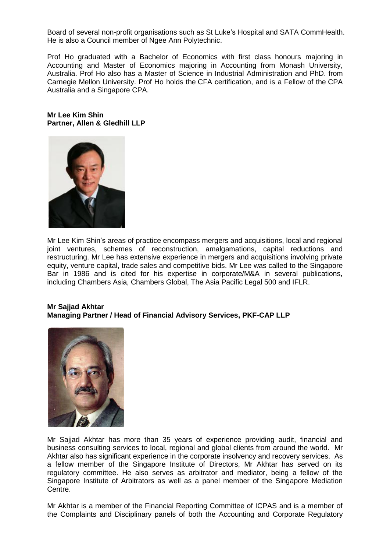Board of several non-profit organisations such as St Luke's Hospital and SATA CommHealth. He is also a Council member of Ngee Ann Polytechnic.

Prof Ho graduated with a Bachelor of Economics with first class honours majoring in Accounting and Master of Economics majoring in Accounting from Monash University, Australia. Prof Ho also has a Master of Science in Industrial Administration and PhD. from Carnegie Mellon University. Prof Ho holds the CFA certification, and is a Fellow of the CPA Australia and a Singapore CPA.

**Mr Lee Kim Shin Partner, Allen & Gledhill LLP**



Mr Lee Kim Shin's areas of practice encompass mergers and acquisitions, local and regional joint ventures, schemes of reconstruction, amalgamations, capital reductions and restructuring. Mr Lee has extensive experience in mergers and acquisitions involving private equity, venture capital, trade sales and competitive bids. Mr Lee was called to the Singapore Bar in 1986 and is cited for his expertise in corporate/M&A in several publications, including Chambers Asia, Chambers Global, The Asia Pacific Legal 500 and IFLR.

## **Mr Sajjad Akhtar Managing Partner / Head of Financial Advisory Services, PKF-CAP LLP**



Mr Sajjad Akhtar has more than 35 years of experience providing audit, financial and business consulting services to local, regional and global clients from around the world. Mr Akhtar also has significant experience in the corporate insolvency and recovery services. As a fellow member of the Singapore Institute of Directors, Mr Akhtar has served on its regulatory committee. He also serves as arbitrator and mediator, being a fellow of the Singapore Institute of Arbitrators as well as a panel member of the Singapore Mediation Centre.

Mr Akhtar is a member of the Financial Reporting Committee of ICPAS and is a member of the Complaints and Disciplinary panels of both the Accounting and Corporate Regulatory